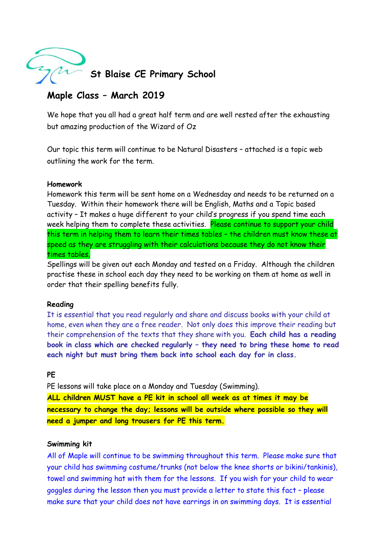

# **Maple Class – March 2019**

We hope that you all had a great half term and are well rested after the exhausting but amazing production of the Wizard of Oz

Our topic this term will continue to be Natural Disasters – attached is a topic web outlining the work for the term.

## **Homework**

Homework this term will be sent home on a Wednesday and needs to be returned on a Tuesday. Within their homework there will be English, Maths and a Topic based activity – It makes a huge different to your child's progress if you spend time each week helping them to complete these activities. Please continue to support your child this term in helping them to learn their times tables – the children must know these at speed as they are struggling with their calculations because they do not know their times tables.

Spellings will be given out each Monday and tested on a Friday. Although the children practise these in school each day they need to be working on them at home as well in order that their spelling benefits fully.

## **Reading**

It is essential that you read regularly and share and discuss books with your child at home, even when they are a free reader. Not only does this improve their reading but their comprehension of the texts that they share with you. **Each child has a reading book in class which are checked regularly – they need to bring these home to read each night but must bring them back into school each day for in class.**

### **PE**

PE lessons will take place on a Monday and Tuesday (Swimming).

**ALL children MUST have a PE kit in school all week as at times it may be necessary to change the day; lessons will be outside where possible so they will need a jumper and long trousers for PE this term.** 

### **Swimming kit**

All of Maple will continue to be swimming throughout this term. Please make sure that your child has swimming costume/trunks (not below the knee shorts or bikini/tankinis), towel and swimming hat with them for the lessons. If you wish for your child to wear goggles during the lesson then you must provide a letter to state this fact – please make sure that your child does not have earrings in on swimming days. It is essential